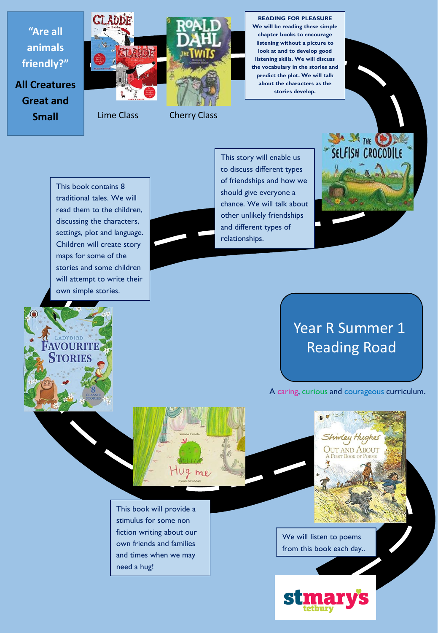

**Small**

Lime Class Cherry Class

**We will be reading these simple chapter books to encourage listening without a picture to look at and to develop good listening skills. We will discuss the vocabulary in the stories and predict the plot. We will talk about the characters as the** 

This book contains 8 traditional tales. We will read them to the children, discussing the characters, settings, plot and language. Children will create story maps for some of the stories and some children will attempt to write their own simple stories.



This story will enable us to discuss different types of friendships and how we should give everyone a chance. We will talk about other unlikely friendships and different types of relationships.

## SELFISH CROCODILE

## Year R Summer 1 Reading Road

A caring, curious and courageous curriculum.

Shindey Hughe **OUT AND ABOUT** 



This book will provide a stimulus for some non fiction writing about our own friends and families and times when we may need a hug!

We will listen to poems from this book each day..